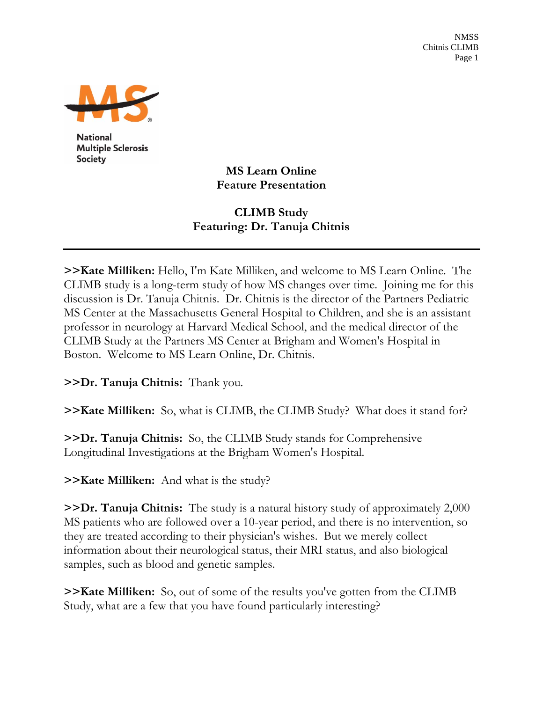NMSS Chitnis CLIMB Page 1



**National Multiple Sclerosis Society** 

> **MS Learn Online Feature Presentation**

## **CLIMB Study Featuring: Dr. Tanuja Chitnis**

**>>Kate Milliken:** Hello, I'm Kate Milliken, and welcome to MS Learn Online. The CLIMB study is a long-term study of how MS changes over time. Joining me for this discussion is Dr. Tanuja Chitnis. Dr. Chitnis is the director of the Partners Pediatric MS Center at the Massachusetts General Hospital to Children, and she is an assistant professor in neurology at Harvard Medical School, and the medical director of the CLIMB Study at the Partners MS Center at Brigham and Women's Hospital in Boston. Welcome to MS Learn Online, Dr. Chitnis.

**>>Dr. Tanuja Chitnis:** Thank you.

**>>Kate Milliken:** So, what is CLIMB, the CLIMB Study? What does it stand for?

**>>Dr. Tanuja Chitnis:** So, the CLIMB Study stands for Comprehensive Longitudinal Investigations at the Brigham Women's Hospital.

**>>Kate Milliken:** And what is the study?

**>>Dr. Tanuja Chitnis:** The study is a natural history study of approximately 2,000 MS patients who are followed over a 10-year period, and there is no intervention, so they are treated according to their physician's wishes. But we merely collect information about their neurological status, their MRI status, and also biological samples, such as blood and genetic samples.

**>>Kate Milliken:** So, out of some of the results you've gotten from the CLIMB Study, what are a few that you have found particularly interesting?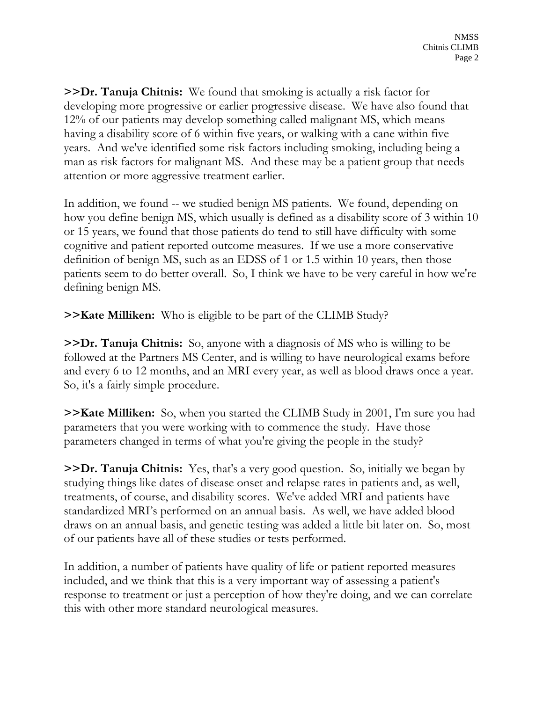**>>Dr. Tanuja Chitnis:** We found that smoking is actually a risk factor for developing more progressive or earlier progressive disease. We have also found that 12% of our patients may develop something called malignant MS, which means having a disability score of 6 within five years, or walking with a cane within five years. And we've identified some risk factors including smoking, including being a man as risk factors for malignant MS. And these may be a patient group that needs attention or more aggressive treatment earlier.

In addition, we found -- we studied benign MS patients. We found, depending on how you define benign MS, which usually is defined as a disability score of 3 within 10 or 15 years, we found that those patients do tend to still have difficulty with some cognitive and patient reported outcome measures. If we use a more conservative definition of benign MS, such as an EDSS of 1 or 1.5 within 10 years, then those patients seem to do better overall. So, I think we have to be very careful in how we're defining benign MS.

**>>Kate Milliken:** Who is eligible to be part of the CLIMB Study?

**>>Dr. Tanuja Chitnis:** So, anyone with a diagnosis of MS who is willing to be followed at the Partners MS Center, and is willing to have neurological exams before and every 6 to 12 months, and an MRI every year, as well as blood draws once a year. So, it's a fairly simple procedure.

**>>Kate Milliken:** So, when you started the CLIMB Study in 2001, I'm sure you had parameters that you were working with to commence the study. Have those parameters changed in terms of what you're giving the people in the study?

**>>Dr. Tanuja Chitnis:** Yes, that's a very good question. So, initially we began by studying things like dates of disease onset and relapse rates in patients and, as well, treatments, of course, and disability scores. We've added MRI and patients have standardized MRI's performed on an annual basis. As well, we have added blood draws on an annual basis, and genetic testing was added a little bit later on. So, most of our patients have all of these studies or tests performed.

In addition, a number of patients have quality of life or patient reported measures included, and we think that this is a very important way of assessing a patient's response to treatment or just a perception of how they're doing, and we can correlate this with other more standard neurological measures.